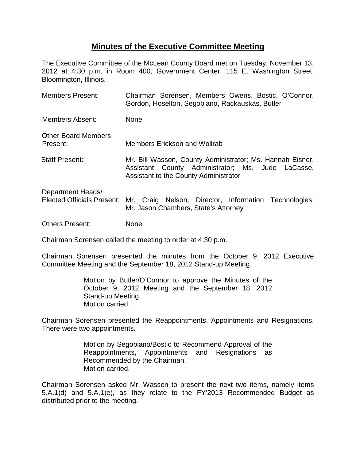## **Minutes of the Executive Committee Meeting**

The Executive Committee of the McLean County Board met on Tuesday, November 13, 2012 at 4:30 p.m. in Room 400, Government Center, 115 E. Washington Street, Bloomington, Illinois.

| <b>Members Present:</b>                | Chairman Sorensen, Members Owens, Bostic, O'Connor,<br>Gordon, Hoselton, Segobiano, Rackauskas, Butler                                                  |
|----------------------------------------|---------------------------------------------------------------------------------------------------------------------------------------------------------|
| Members Absent:                        | None                                                                                                                                                    |
| <b>Other Board Members</b><br>Present: | <b>Members Erickson and Wollrab</b>                                                                                                                     |
| <b>Staff Present:</b>                  | Mr. Bill Wasson, County Administrator; Ms. Hannah Eisner,<br>Assistant County Administrator; Ms. Jude LaCasse,<br>Assistant to the County Administrator |
| Department Heads/                      | Elected Officials Present: Mr. Craig Nelson, Director, Information Technologies;<br>Mr. Jason Chambers, State's Attorney                                |
| <b>Others Present:</b>                 | None                                                                                                                                                    |

Chairman Sorensen called the meeting to order at 4:30 p.m.

Chairman Sorensen presented the minutes from the October 9, 2012 Executive Committee Meeting and the September 18, 2012 Stand-up Meeting.

> Motion by Butler/O'Connor to approve the Minutes of the October 9, 2012 Meeting and the September 18, 2012 Stand-up Meeting. Motion carried.

Chairman Sorensen presented the Reappointments, Appointments and Resignations. There were two appointments.

> Motion by Segobiano/Bostic to Recommend Approval of the Reappointments, Appointments and Resignations as Recommended by the Chairman. Motion carried.

Chairman Sorensen asked Mr. Wasson to present the next two items, namely items 5.A.1)d) and 5.A.1)e), as they relate to the FY'2013 Recommended Budget as distributed prior to the meeting.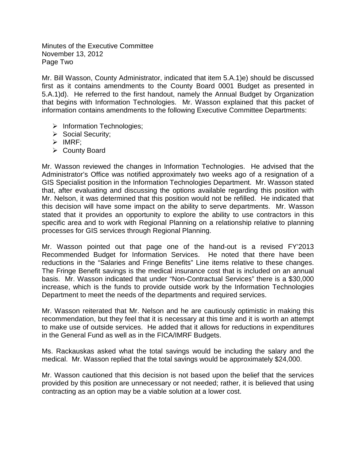Minutes of the Executive Committee November 13, 2012 Page Two

Mr. Bill Wasson, County Administrator, indicated that item 5.A.1)e) should be discussed first as it contains amendments to the County Board 0001 Budget as presented in 5.A.1)d). He referred to the first handout, namely the Annual Budget by Organization that begins with Information Technologies. Mr. Wasson explained that this packet of information contains amendments to the following Executive Committee Departments:

- $\triangleright$  Information Technologies;
- $\triangleright$  Social Security;
- $\triangleright$  IMRF;
- County Board

Mr. Wasson reviewed the changes in Information Technologies. He advised that the Administrator's Office was notified approximately two weeks ago of a resignation of a GIS Specialist position in the Information Technologies Department. Mr. Wasson stated that, after evaluating and discussing the options available regarding this position with Mr. Nelson, it was determined that this position would not be refilled. He indicated that this decision will have some impact on the ability to serve departments. Mr. Wasson stated that it provides an opportunity to explore the ability to use contractors in this specific area and to work with Regional Planning on a relationship relative to planning processes for GIS services through Regional Planning.

Mr. Wasson pointed out that page one of the hand-out is a revised FY'2013 Recommended Budget for Information Services. He noted that there have been reductions in the "Salaries and Fringe Benefits" Line items relative to these changes. The Fringe Benefit savings is the medical insurance cost that is included on an annual basis. Mr. Wasson indicated that under "Non-Contractual Services" there is a \$30,000 increase, which is the funds to provide outside work by the Information Technologies Department to meet the needs of the departments and required services.

Mr. Wasson reiterated that Mr. Nelson and he are cautiously optimistic in making this recommendation, but they feel that it is necessary at this time and it is worth an attempt to make use of outside services. He added that it allows for reductions in expenditures in the General Fund as well as in the FICA/IMRF Budgets.

Ms. Rackauskas asked what the total savings would be including the salary and the medical. Mr. Wasson replied that the total savings would be approximately \$24,000.

Mr. Wasson cautioned that this decision is not based upon the belief that the services provided by this position are unnecessary or not needed; rather, it is believed that using contracting as an option may be a viable solution at a lower cost.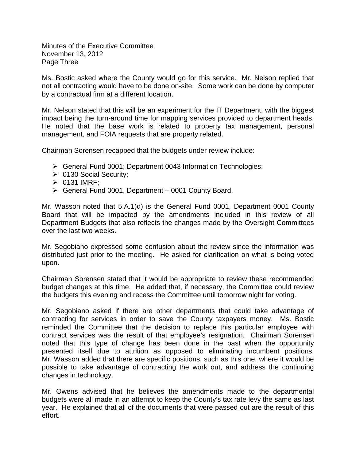Minutes of the Executive Committee November 13, 2012 Page Three

Ms. Bostic asked where the County would go for this service. Mr. Nelson replied that not all contracting would have to be done on-site. Some work can be done by computer by a contractual firm at a different location.

Mr. Nelson stated that this will be an experiment for the IT Department, with the biggest impact being the turn-around time for mapping services provided to department heads. He noted that the base work is related to property tax management, personal management, and FOIA requests that are property related.

Chairman Sorensen recapped that the budgets under review include:

- General Fund 0001; Department 0043 Information Technologies;
- ▶ 0130 Social Security;
- $\triangleright$  0131 IMRF;
- $\triangleright$  General Fund 0001, Department 0001 County Board.

Mr. Wasson noted that 5.A.1)d) is the General Fund 0001, Department 0001 County Board that will be impacted by the amendments included in this review of all Department Budgets that also reflects the changes made by the Oversight Committees over the last two weeks.

Mr. Segobiano expressed some confusion about the review since the information was distributed just prior to the meeting. He asked for clarification on what is being voted upon.

Chairman Sorensen stated that it would be appropriate to review these recommended budget changes at this time. He added that, if necessary, the Committee could review the budgets this evening and recess the Committee until tomorrow night for voting.

Mr. Segobiano asked if there are other departments that could take advantage of contracting for services in order to save the County taxpayers money. Ms. Bostic reminded the Committee that the decision to replace this particular employee with contract services was the result of that employee's resignation. Chairman Sorensen noted that this type of change has been done in the past when the opportunity presented itself due to attrition as opposed to eliminating incumbent positions. Mr. Wasson added that there are specific positions, such as this one, where it would be possible to take advantage of contracting the work out, and address the continuing changes in technology.

Mr. Owens advised that he believes the amendments made to the departmental budgets were all made in an attempt to keep the County's tax rate levy the same as last year. He explained that all of the documents that were passed out are the result of this effort.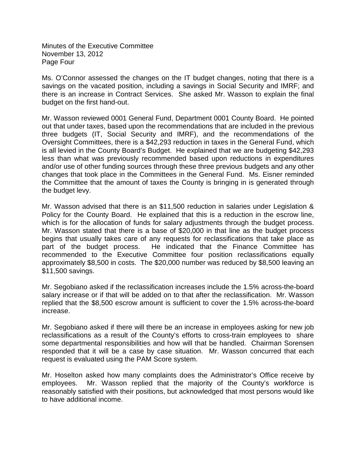Minutes of the Executive Committee November 13, 2012 Page Four

Ms. O'Connor assessed the changes on the IT budget changes, noting that there is a savings on the vacated position, including a savings in Social Security and IMRF; and there is an increase in Contract Services. She asked Mr. Wasson to explain the final budget on the first hand-out.

Mr. Wasson reviewed 0001 General Fund, Department 0001 County Board. He pointed out that under taxes, based upon the recommendations that are included in the previous three budgets (IT, Social Security and IMRF), and the recommendations of the Oversight Committees, there is a \$42,293 reduction in taxes in the General Fund, which is all levied in the County Board's Budget. He explained that we are budgeting \$42,293 less than what was previously recommended based upon reductions in expenditures and/or use of other funding sources through these three previous budgets and any other changes that took place in the Committees in the General Fund. Ms. Eisner reminded the Committee that the amount of taxes the County is bringing in is generated through the budget levy.

Mr. Wasson advised that there is an \$11,500 reduction in salaries under Legislation & Policy for the County Board. He explained that this is a reduction in the escrow line, which is for the allocation of funds for salary adjustments through the budget process. Mr. Wasson stated that there is a base of \$20,000 in that line as the budget process begins that usually takes care of any requests for reclassifications that take place as part of the budget process. He indicated that the Finance Committee has recommended to the Executive Committee four position reclassifications equally approximately \$8,500 in costs. The \$20,000 number was reduced by \$8,500 leaving an \$11,500 savings.

Mr. Segobiano asked if the reclassification increases include the 1.5% across-the-board salary increase or if that will be added on to that after the reclassification. Mr. Wasson replied that the \$8,500 escrow amount is sufficient to cover the 1.5% across-the-board increase.

Mr. Segobiano asked if there will there be an increase in employees asking for new job reclassifications as a result of the County's efforts to cross-train employees to share some departmental responsibilities and how will that be handled. Chairman Sorensen responded that it will be a case by case situation. Mr. Wasson concurred that each request is evaluated using the PAM Score system.

Mr. Hoselton asked how many complaints does the Administrator's Office receive by employees. Mr. Wasson replied that the majority of the County's workforce is reasonably satisfied with their positions, but acknowledged that most persons would like to have additional income.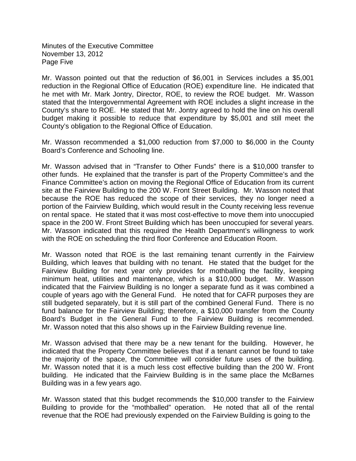Minutes of the Executive Committee November 13, 2012 Page Five

Mr. Wasson pointed out that the reduction of \$6,001 in Services includes a \$5,001 reduction in the Regional Office of Education (ROE) expenditure line. He indicated that he met with Mr. Mark Jontry, Director, ROE, to review the ROE budget. Mr. Wasson stated that the Intergovernmental Agreement with ROE includes a slight increase in the County's share to ROE. He stated that Mr. Jontry agreed to hold the line on his overall budget making it possible to reduce that expenditure by \$5,001 and still meet the County's obligation to the Regional Office of Education.

Mr. Wasson recommended a \$1,000 reduction from \$7,000 to \$6,000 in the County Board's Conference and Schooling line.

Mr. Wasson advised that in "Transfer to Other Funds" there is a \$10,000 transfer to other funds. He explained that the transfer is part of the Property Committee's and the Finance Committee's action on moving the Regional Office of Education from its current site at the Fairview Building to the 200 W. Front Street Building. Mr. Wasson noted that because the ROE has reduced the scope of their services, they no longer need a portion of the Fairview Building, which would result in the County receiving less revenue on rental space. He stated that it was most cost-effective to move them into unoccupied space in the 200 W. Front Street Building which has been unoccupied for several years. Mr. Wasson indicated that this required the Health Department's willingness to work with the ROE on scheduling the third floor Conference and Education Room.

Mr. Wasson noted that ROE is the last remaining tenant currently in the Fairview Building, which leaves that building with no tenant. He stated that the budget for the Fairview Building for next year only provides for mothballing the facility, keeping minimum heat, utilities and maintenance, which is a \$10,000 budget. Mr. Wasson indicated that the Fairview Building is no longer a separate fund as it was combined a couple of years ago with the General Fund. He noted that for CAFR purposes they are still budgeted separately, but it is still part of the combined General Fund. There is no fund balance for the Fairview Building; therefore, a \$10,000 transfer from the County Board's Budget in the General Fund to the Fairview Building is recommended. Mr. Wasson noted that this also shows up in the Fairview Building revenue line.

Mr. Wasson advised that there may be a new tenant for the building. However, he indicated that the Property Committee believes that if a tenant cannot be found to take the majority of the space, the Committee will consider future uses of the building. Mr. Wasson noted that it is a much less cost effective building than the 200 W. Front building. He indicated that the Fairview Building is in the same place the McBarnes Building was in a few years ago.

Mr. Wasson stated that this budget recommends the \$10,000 transfer to the Fairview Building to provide for the "mothballed" operation. He noted that all of the rental revenue that the ROE had previously expended on the Fairview Building is going to the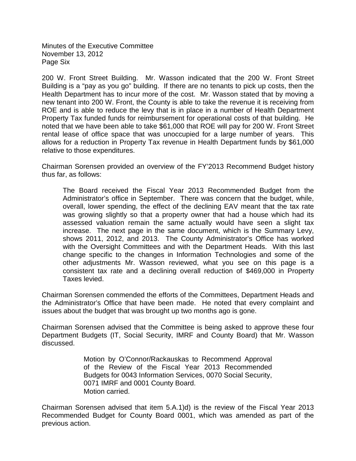Minutes of the Executive Committee November 13, 2012 Page Six

200 W. Front Street Building. Mr. Wasson indicated that the 200 W. Front Street Building is a "pay as you go" building. If there are no tenants to pick up costs, then the Health Department has to incur more of the cost. Mr. Wasson stated that by moving a new tenant into 200 W. Front, the County is able to take the revenue it is receiving from ROE and is able to reduce the levy that is in place in a number of Health Department Property Tax funded funds for reimbursement for operational costs of that building. He noted that we have been able to take \$61,000 that ROE will pay for 200 W. Front Street rental lease of office space that was unoccupied for a large number of years. This allows for a reduction in Property Tax revenue in Health Department funds by \$61,000 relative to those expenditures.

Chairman Sorensen provided an overview of the FY'2013 Recommend Budget history thus far, as follows:

The Board received the Fiscal Year 2013 Recommended Budget from the Administrator's office in September. There was concern that the budget, while, overall, lower spending, the effect of the declining EAV meant that the tax rate was growing slightly so that a property owner that had a house which had its assessed valuation remain the same actually would have seen a slight tax increase. The next page in the same document, which is the Summary Levy, shows 2011, 2012, and 2013. The County Administrator's Office has worked with the Oversight Committees and with the Department Heads. With this last change specific to the changes in Information Technologies and some of the other adjustments Mr. Wasson reviewed, what you see on this page is a consistent tax rate and a declining overall reduction of \$469,000 in Property Taxes levied.

Chairman Sorensen commended the efforts of the Committees, Department Heads and the Administrator's Office that have been made. He noted that every complaint and issues about the budget that was brought up two months ago is gone.

Chairman Sorensen advised that the Committee is being asked to approve these four Department Budgets (IT, Social Security, IMRF and County Board) that Mr. Wasson discussed.

> Motion by O'Connor/Rackauskas to Recommend Approval of the Review of the Fiscal Year 2013 Recommended Budgets for 0043 Information Services, 0070 Social Security, 0071 IMRF and 0001 County Board. Motion carried.

Chairman Sorensen advised that item 5.A.1)d) is the review of the Fiscal Year 2013 Recommended Budget for County Board 0001, which was amended as part of the previous action.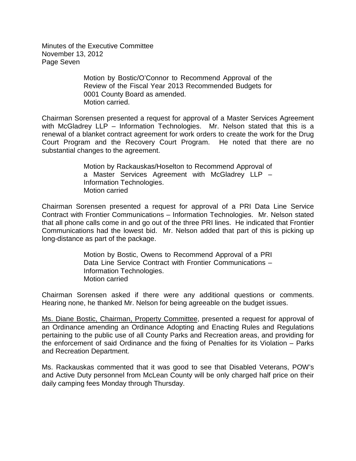Minutes of the Executive Committee November 13, 2012 Page Seven

> Motion by Bostic/O'Connor to Recommend Approval of the Review of the Fiscal Year 2013 Recommended Budgets for 0001 County Board as amended. Motion carried.

Chairman Sorensen presented a request for approval of a Master Services Agreement with McGladrey LLP – Information Technologies. Mr. Nelson stated that this is a renewal of a blanket contract agreement for work orders to create the work for the Drug Court Program and the Recovery Court Program. He noted that there are no substantial changes to the agreement.

> Motion by Rackauskas/Hoselton to Recommend Approval of a Master Services Agreement with McGladrey LLP – Information Technologies. Motion carried

Chairman Sorensen presented a request for approval of a PRI Data Line Service Contract with Frontier Communications – Information Technologies. Mr. Nelson stated that all phone calls come in and go out of the three PRI lines. He indicated that Frontier Communications had the lowest bid. Mr. Nelson added that part of this is picking up long-distance as part of the package.

> Motion by Bostic, Owens to Recommend Approval of a PRI Data Line Service Contract with Frontier Communications – Information Technologies. Motion carried

Chairman Sorensen asked if there were any additional questions or comments. Hearing none, he thanked Mr. Nelson for being agreeable on the budget issues.

Ms. Diane Bostic, Chairman, Property Committee, presented a request for approval of an Ordinance amending an Ordinance Adopting and Enacting Rules and Regulations pertaining to the public use of all County Parks and Recreation areas, and providing for the enforcement of said Ordinance and the fixing of Penalties for its Violation – Parks and Recreation Department.

Ms. Rackauskas commented that it was good to see that Disabled Veterans, POW's and Active Duty personnel from McLean County will be only charged half price on their daily camping fees Monday through Thursday.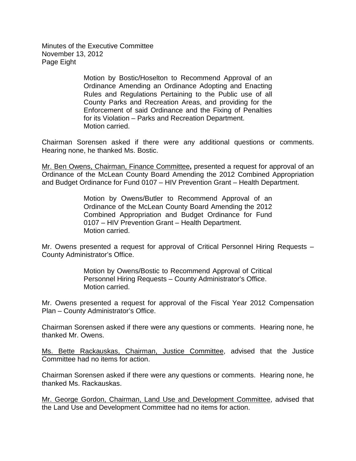Minutes of the Executive Committee November 13, 2012 Page Eight

> Motion by Bostic/Hoselton to Recommend Approval of an Ordinance Amending an Ordinance Adopting and Enacting Rules and Regulations Pertaining to the Public use of all County Parks and Recreation Areas, and providing for the Enforcement of said Ordinance and the Fixing of Penalties for its Violation – Parks and Recreation Department. Motion carried.

Chairman Sorensen asked if there were any additional questions or comments. Hearing none, he thanked Ms. Bostic.

Mr. Ben Owens, Chairman, Finance Committee**,** presented a request for approval of an Ordinance of the McLean County Board Amending the 2012 Combined Appropriation and Budget Ordinance for Fund 0107 – HIV Prevention Grant – Health Department.

> Motion by Owens/Butler to Recommend Approval of an Ordinance of the McLean County Board Amending the 2012 Combined Appropriation and Budget Ordinance for Fund 0107 – HIV Prevention Grant – Health Department. Motion carried.

Mr. Owens presented a request for approval of Critical Personnel Hiring Requests – County Administrator's Office.

> Motion by Owens/Bostic to Recommend Approval of Critical Personnel Hiring Requests – County Administrator's Office. Motion carried.

Mr. Owens presented a request for approval of the Fiscal Year 2012 Compensation Plan – County Administrator's Office.

Chairman Sorensen asked if there were any questions or comments. Hearing none, he thanked Mr. Owens.

Ms. Bette Rackauskas, Chairman, Justice Committee, advised that the Justice Committee had no items for action.

Chairman Sorensen asked if there were any questions or comments. Hearing none, he thanked Ms. Rackauskas.

Mr. George Gordon, Chairman, Land Use and Development Committee, advised that the Land Use and Development Committee had no items for action.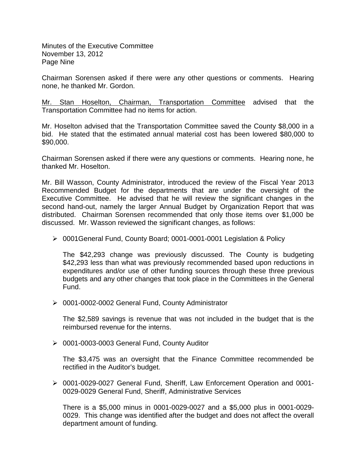Minutes of the Executive Committee November 13, 2012 Page Nine

Chairman Sorensen asked if there were any other questions or comments. Hearing none, he thanked Mr. Gordon.

Mr. Stan Hoselton, Chairman, Transportation Committee advised that the Transportation Committee had no items for action.

Mr. Hoselton advised that the Transportation Committee saved the County \$8,000 in a bid. He stated that the estimated annual material cost has been lowered \$80,000 to \$90,000.

Chairman Sorensen asked if there were any questions or comments. Hearing none, he thanked Mr. Hoselton.

Mr. Bill Wasson, County Administrator, introduced the review of the Fiscal Year 2013 Recommended Budget for the departments that are under the oversight of the Executive Committee. He advised that he will review the significant changes in the second hand-out, namely the larger Annual Budget by Organization Report that was distributed. Chairman Sorensen recommended that only those items over \$1,000 be discussed. Mr. Wasson reviewed the significant changes, as follows:

0001General Fund, County Board; 0001-0001-0001 Legislation & Policy

The \$42,293 change was previously discussed. The County is budgeting \$42,293 less than what was previously recommended based upon reductions in expenditures and/or use of other funding sources through these three previous budgets and any other changes that took place in the Committees in the General Fund.

0001-0002-0002 General Fund, County Administrator

The \$2,589 savings is revenue that was not included in the budget that is the reimbursed revenue for the interns.

0001-0003-0003 General Fund, County Auditor

The \$3,475 was an oversight that the Finance Committee recommended be rectified in the Auditor's budget.

 0001-0029-0027 General Fund, Sheriff, Law Enforcement Operation and 0001- 0029-0029 General Fund, Sheriff, Administrative Services

There is a \$5,000 minus in 0001-0029-0027 and a \$5,000 plus in 0001-0029- 0029. This change was identified after the budget and does not affect the overall department amount of funding.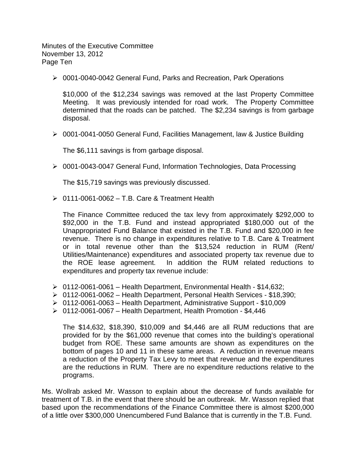Minutes of the Executive Committee November 13, 2012 Page Ten

0001-0040-0042 General Fund, Parks and Recreation, Park Operations

\$10,000 of the \$12,234 savings was removed at the last Property Committee Meeting. It was previously intended for road work. The Property Committee determined that the roads can be patched. The \$2,234 savings is from garbage disposal.

0001-0041-0050 General Fund, Facilities Management, law & Justice Building

The \$6,111 savings is from garbage disposal.

0001-0043-0047 General Fund, Information Technologies, Data Processing

The \$15,719 savings was previously discussed.

 $\geq 0111$ -0061-0062 – T.B. Care & Treatment Health

The Finance Committee reduced the tax levy from approximately \$292,000 to \$92,000 in the T.B. Fund and instead appropriated \$180,000 out of the Unappropriated Fund Balance that existed in the T.B. Fund and \$20,000 in fee revenue. There is no change in expenditures relative to T.B. Care & Treatment or in total revenue other than the \$13,524 reduction in RUM (Rent/ Utilities/Maintenance) expenditures and associated property tax revenue due to the ROE lease agreement. In addition the RUM related reductions to expenditures and property tax revenue include:

- $\geq 0112$ -0061-0061 Health Department, Environmental Health \$14,632;
- 0112-0061-0062 Health Department, Personal Health Services \$18,390;
- $\geq 0112$ -0061-0063 Health Department, Administrative Support \$10,009
- $\geq 0112$ -0061-0067 Health Department, Health Promotion \$4,446

The \$14,632, \$18,390, \$10,009 and \$4,446 are all RUM reductions that are provided for by the \$61,000 revenue that comes into the building's operational budget from ROE. These same amounts are shown as expenditures on the bottom of pages 10 and 11 in these same areas. A reduction in revenue means a reduction of the Property Tax Levy to meet that revenue and the expenditures are the reductions in RUM. There are no expenditure reductions relative to the programs.

Ms. Wollrab asked Mr. Wasson to explain about the decrease of funds available for treatment of T.B. in the event that there should be an outbreak. Mr. Wasson replied that based upon the recommendations of the Finance Committee there is almost \$200,000 of a little over \$300,000 Unencumbered Fund Balance that is currently in the T.B. Fund.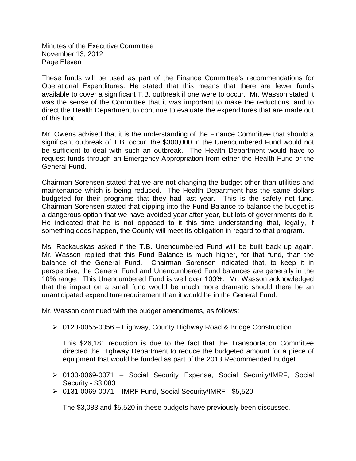Minutes of the Executive Committee November 13, 2012 Page Eleven

These funds will be used as part of the Finance Committee's recommendations for Operational Expenditures. He stated that this means that there are fewer funds available to cover a significant T.B. outbreak if one were to occur. Mr. Wasson stated it was the sense of the Committee that it was important to make the reductions, and to direct the Health Department to continue to evaluate the expenditures that are made out of this fund.

Mr. Owens advised that it is the understanding of the Finance Committee that should a significant outbreak of T.B. occur, the \$300,000 in the Unencumbered Fund would not be sufficient to deal with such an outbreak. The Health Department would have to request funds through an Emergency Appropriation from either the Health Fund or the General Fund.

Chairman Sorensen stated that we are not changing the budget other than utilities and maintenance which is being reduced. The Health Department has the same dollars budgeted for their programs that they had last year. This is the safety net fund. Chairman Sorensen stated that dipping into the Fund Balance to balance the budget is a dangerous option that we have avoided year after year, but lots of governments do it. He indicated that he is not opposed to it this time understanding that, legally, if something does happen, the County will meet its obligation in regard to that program.

Ms. Rackauskas asked if the T.B. Unencumbered Fund will be built back up again. Mr. Wasson replied that this Fund Balance is much higher, for that fund, than the balance of the General Fund. Chairman Sorensen indicated that, to keep it in perspective, the General Fund and Unencumbered Fund balances are generally in the 10% range. This Unencumbered Fund is well over 100%. Mr. Wasson acknowledged that the impact on a small fund would be much more dramatic should there be an unanticipated expenditure requirement than it would be in the General Fund.

Mr. Wasson continued with the budget amendments, as follows:

0120-0055-0056 – Highway, County Highway Road & Bridge Construction

This \$26,181 reduction is due to the fact that the Transportation Committee directed the Highway Department to reduce the budgeted amount for a piece of equipment that would be funded as part of the 2013 Recommended Budget.

- 0130-0069-0071 Social Security Expense, Social Security/IMRF, Social Security - \$3,083
- 0131-0069-0071 IMRF Fund, Social Security/IMRF \$5,520

The \$3,083 and \$5,520 in these budgets have previously been discussed.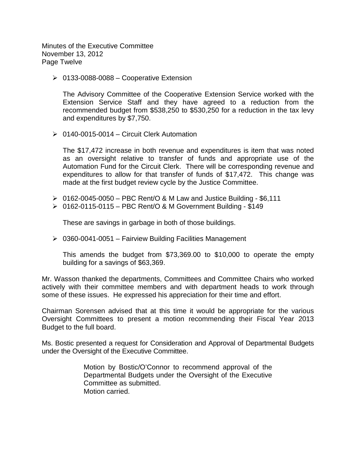Minutes of the Executive Committee November 13, 2012 Page Twelve

 $\geq 0133-0088-0088$  – Cooperative Extension

The Advisory Committee of the Cooperative Extension Service worked with the Extension Service Staff and they have agreed to a reduction from the recommended budget from \$538,250 to \$530,250 for a reduction in the tax levy and expenditures by \$7,750.

 $\geq 0140-0015-0014$  – Circuit Clerk Automation

The \$17,472 increase in both revenue and expenditures is item that was noted as an oversight relative to transfer of funds and appropriate use of the Automation Fund for the Circuit Clerk. There will be corresponding revenue and expenditures to allow for that transfer of funds of \$17,472. This change was made at the first budget review cycle by the Justice Committee.

- $\geq 0162-0045-0050$  PBC Rent/O & M Law and Justice Building \$6,111
- $\geq 0162 0115 0115 PBC Rent/O & M Government Building $149$

These are savings in garbage in both of those buildings.

 $\geq 0360$ -0041-0051 – Fairview Building Facilities Management

This amends the budget from \$73,369.00 to \$10,000 to operate the empty building for a savings of \$63,369.

Mr. Wasson thanked the departments, Committees and Committee Chairs who worked actively with their committee members and with department heads to work through some of these issues. He expressed his appreciation for their time and effort.

Chairman Sorensen advised that at this time it would be appropriate for the various Oversight Committees to present a motion recommending their Fiscal Year 2013 Budget to the full board.

Ms. Bostic presented a request for Consideration and Approval of Departmental Budgets under the Oversight of the Executive Committee.

> Motion by Bostic/O'Connor to recommend approval of the Departmental Budgets under the Oversight of the Executive Committee as submitted. Motion carried.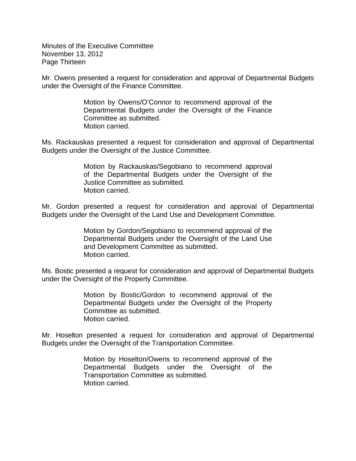Minutes of the Executive Committee November 13, 2012 Page Thirteen

Mr. Owens presented a request for consideration and approval of Departmental Budgets under the Oversight of the Finance Committee.

> Motion by Owens/O'Connor to recommend approval of the Departmental Budgets under the Oversight of the Finance Committee as submitted. Motion carried.

Ms. Rackauskas presented a request for consideration and approval of Departmental Budgets under the Oversight of the Justice Committee.

> Motion by Rackauskas/Segobiano to recommend approval of the Departmental Budgets under the Oversight of the Justice Committee as submitted. Motion carried.

Mr. Gordon presented a request for consideration and approval of Departmental Budgets under the Oversight of the Land Use and Development Committee.

> Motion by Gordon/Segobiano to recommend approval of the Departmental Budgets under the Oversight of the Land Use and Development Committee as submitted. Motion carried.

Ms. Bostic presented a request for consideration and approval of Departmental Budgets under the Oversight of the Property Committee.

> Motion by Bostic/Gordon to recommend approval of the Departmental Budgets under the Oversight of the Property Committee as submitted. Motion carried.

Mr. Hoselton presented a request for consideration and approval of Departmental Budgets under the Oversight of the Transportation Committee.

> Motion by Hoselton/Owens to recommend approval of the Departmental Budgets under the Oversight of the Transportation Committee as submitted. Motion carried.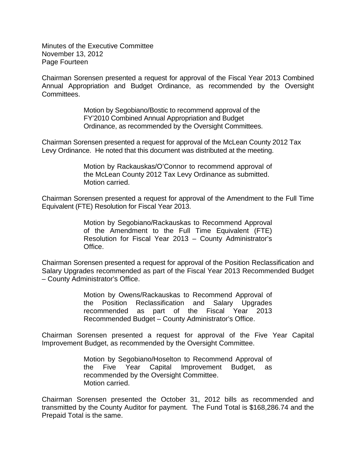Minutes of the Executive Committee November 13, 2012 Page Fourteen

Chairman Sorensen presented a request for approval of the Fiscal Year 2013 Combined Annual Appropriation and Budget Ordinance, as recommended by the Oversight Committees.

> Motion by Segobiano/Bostic to recommend approval of the FY'2010 Combined Annual Appropriation and Budget Ordinance, as recommended by the Oversight Committees.

Chairman Sorensen presented a request for approval of the McLean County 2012 Tax Levy Ordinance. He noted that this document was distributed at the meeting.

> Motion by Rackauskas/O'Connor to recommend approval of the McLean County 2012 Tax Levy Ordinance as submitted. Motion carried.

Chairman Sorensen presented a request for approval of the Amendment to the Full Time Equivalent (FTE) Resolution for Fiscal Year 2013.

> Motion by Segobiano/Rackauskas to Recommend Approval of the Amendment to the Full Time Equivalent (FTE) Resolution for Fiscal Year 2013 – County Administrator's Office.

Chairman Sorensen presented a request for approval of the Position Reclassification and Salary Upgrades recommended as part of the Fiscal Year 2013 Recommended Budget – County Administrator's Office.

> Motion by Owens/Rackauskas to Recommend Approval of the Position Reclassification and Salary Upgrades recommended as part of the Fiscal Year 2013 Recommended Budget – County Administrator's Office.

Chairman Sorensen presented a request for approval of the Five Year Capital Improvement Budget, as recommended by the Oversight Committee.

> Motion by Segobiano/Hoselton to Recommend Approval of the Five Year Capital Improvement Budget, as recommended by the Oversight Committee. Motion carried.

Chairman Sorensen presented the October 31, 2012 bills as recommended and transmitted by the County Auditor for payment. The Fund Total is \$168,286.74 and the Prepaid Total is the same.